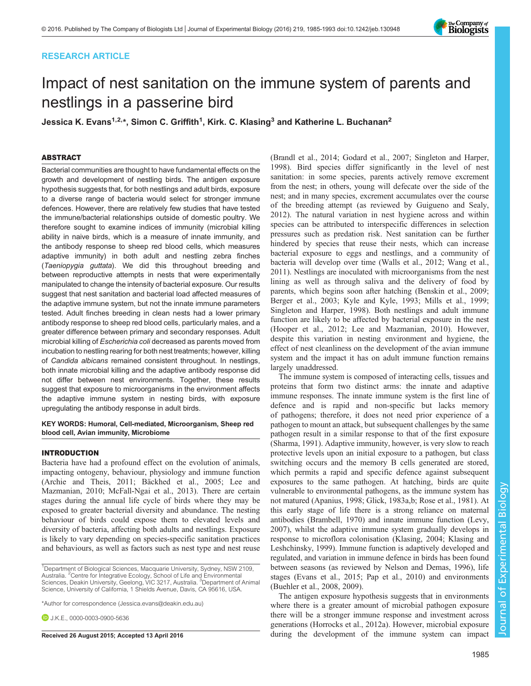# RESEARCH ARTICLE



# Impact of nest sanitation on the immune system of parents and nestlings in a passerine bird

Jessica K. Evans<sup>1,2,\*</sup>, Simon C. Griffith<sup>1</sup>, Kirk. C. Klasing<sup>3</sup> and Katherine L. Buchanan<sup>2</sup>

# ABSTRACT

Bacterial communities are thought to have fundamental effects on the growth and development of nestling birds. The antigen exposure hypothesis suggests that, for both nestlings and adult birds, exposure to a diverse range of bacteria would select for stronger immune defences. However, there are relatively few studies that have tested the immune/bacterial relationships outside of domestic poultry. We therefore sought to examine indices of immunity (microbial killing ability in naive birds, which is a measure of innate immunity, and the antibody response to sheep red blood cells, which measures adaptive immunity) in both adult and nestling zebra finches (Taeniopygia guttata). We did this throughout breeding and between reproductive attempts in nests that were experimentally manipulated to change the intensity of bacterial exposure. Our results suggest that nest sanitation and bacterial load affected measures of the adaptive immune system, but not the innate immune parameters tested. Adult finches breeding in clean nests had a lower primary antibody response to sheep red blood cells, particularly males, and a greater difference between primary and secondary responses. Adult microbial killing of Escherichia coli decreased as parents moved from incubation to nestling rearing for both nest treatments; however, killing of Candida albicans remained consistent throughout. In nestlings, both innate microbial killing and the adaptive antibody response did not differ between nest environments. Together, these results suggest that exposure to microorganisms in the environment affects the adaptive immune system in nesting birds, with exposure upregulating the antibody response in adult birds.

#### KEY WORDS: Humoral, Cell-mediated, Microorganism, Sheep red blood cell, Avian immunity, Microbiome

# INTRODUCTION

Bacteria have had a profound effect on the evolution of animals, impacting ontogeny, behaviour, physiology and immune function [\(Archie and Theis, 2011; Bäckhed et al., 2005](#page-7-0); [Lee and](#page-8-0) [Mazmanian, 2010](#page-8-0); [McFall-Ngai et al., 2013](#page-8-0)). There are certain stages during the annual life cycle of birds where they may be exposed to greater bacterial diversity and abundance. The nesting behaviour of birds could expose them to elevated levels and diversity of bacteria, affecting both adults and nestlings. Exposure is likely to vary depending on species-specific sanitation practices and behaviours, as well as factors such as nest type and nest reuse

\*Author for correspondence [\(Jessica.evans@deakin.edu.au\)](mailto:Jessica.evans@deakin.edu.au)

**D.** J.K. E., [0000-0003-0900-5636](http://orcid.org/0000-0003-0900-5636)

[\(Brandl et al., 2014; Godard et al., 2007; Singleton and Harper,](#page-8-0) [1998\)](#page-8-0). Bird species differ significantly in the level of nest sanitation: in some species, parents actively remove excrement from the nest; in others, young will defecate over the side of the nest; and in many species, excrement accumulates over the course of the breeding attempt (as reviewed by [Guigueno and Sealy,](#page-8-0) [2012\)](#page-8-0). The natural variation in nest hygiene across and within species can be attributed to interspecific differences in selection pressures such as predation risk. Nest sanitation can be further hindered by species that reuse their nests, which can increase bacterial exposure to eggs and nestlings, and a community of bacteria will develop over time [\(Walls et al., 2012; Wang et al.,](#page-8-0) [2011\)](#page-8-0). Nestlings are inoculated with microorganisms from the nest lining as well as through saliva and the delivery of food by parents, which begins soon after hatching ([Benskin et al., 2009](#page-7-0); [Berger et al., 2003;](#page-7-0) [Kyle and Kyle, 1993; Mills et al., 1999](#page-8-0); [Singleton and Harper, 1998](#page-8-0)). Both nestlings and adult immune function are likely to be affected by bacterial exposure in the nest [\(Hooper et al., 2012; Lee and Mazmanian, 2010](#page-8-0)). However, despite this variation in nesting environment and hygiene, the effect of nest cleanliness on the development of the avian immune system and the impact it has on adult immune function remains largely unaddressed.

The immune system is composed of interacting cells, tissues and proteins that form two distinct arms: the innate and adaptive immune responses. The innate immune system is the first line of defence and is rapid and non-specific but lacks memory of pathogens; therefore, it does not need prior experience of a pathogen to mount an attack, but subsequent challenges by the same pathogen result in a similar response to that of the first exposure [\(Sharma, 1991](#page-8-0)). Adaptive immunity, however, is very slow to reach protective levels upon an initial exposure to a pathogen, but class switching occurs and the memory B cells generated are stored, which permits a rapid and specific defence against subsequent exposures to the same pathogen. At hatching, birds are quite vulnerable to environmental pathogens, as the immune system has not matured [\(Apanius, 1998;](#page-7-0) [Glick, 1983a,b; Rose et al., 1981\)](#page-8-0). At this early stage of life there is a strong reliance on maternal antibodies ([Brambell, 1970\)](#page-8-0) and innate immune function [\(Levy,](#page-8-0) [2007\)](#page-8-0), whilst the adaptive immune system gradually develops in response to microflora colonisation ([Klasing, 2004; Klasing and](#page-8-0) [Leshchinsky, 1999](#page-8-0)). Immune function is adaptively developed and regulated, and variation in immune defence in birds has been found between seasons (as reviewed by [Nelson and Demas, 1996\)](#page-8-0), life stages [\(Evans et al., 2015; Pap et al., 2010](#page-8-0)) and environments [\(Buehler et al., 2008, 2009\)](#page-8-0).

The antigen exposure hypothesis suggests that in environments where there is a greater amount of microbial pathogen exposure there will be a stronger immune response and investment across generations ([Horrocks et al., 2012a\)](#page-8-0). However, microbial exposure Received 26 August 2015; Accepted 13 April 2016 during the development of the immune system can impact

<sup>&</sup>lt;sup>1</sup>Department of Biological Sciences, Macquarie University, Sydney, NSW 2109, Australia. <sup>2</sup> Centre for Integrative Ecology, School of Life and Environmental Sciences, Deakin University, Geelong, VIC 3217, Australia. <sup>3</sup>Department of Animal Science, University of California, 1 Shields Avenue, Davis, CA 95616, USA.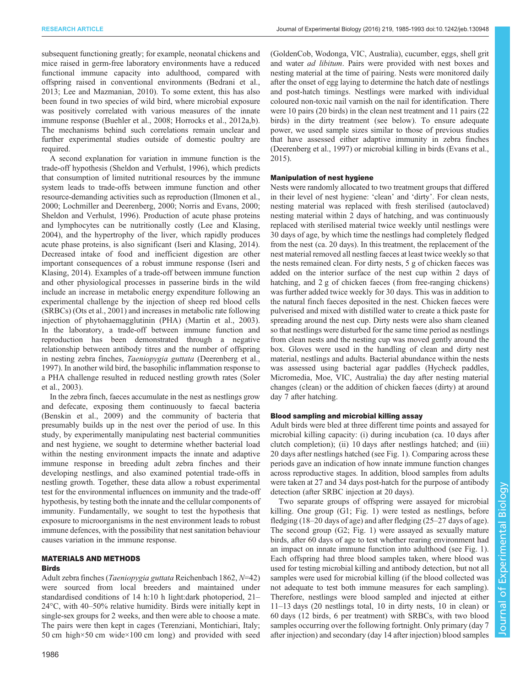subsequent functioning greatly; for example, neonatal chickens and mice raised in germ-free laboratory environments have a reduced functional immune capacity into adulthood, compared with offspring raised in conventional environments [\(Bedrani et al.,](#page-7-0) [2013](#page-7-0); [Lee and Mazmanian, 2010](#page-8-0)). To some extent, this has also been found in two species of wild bird, where microbial exposure was positively correlated with various measures of the innate immune response ([Buehler et al., 2008; Horrocks et al., 2012a](#page-8-0),[b\)](#page-8-0). The mechanisms behind such correlations remain unclear and further experimental studies outside of domestic poultry are required.

A second explanation for variation in immune function is the trade-off hypothesis ([Sheldon and Verhulst, 1996](#page-8-0)), which predicts that consumption of limited nutritional resources by the immune system leads to trade-offs between immune function and other resource-demanding activities such as reproduction ([Ilmonen et al.,](#page-8-0) [2000](#page-8-0); [Lochmiller and Deerenberg, 2000](#page-8-0); [Norris and Evans, 2000](#page-8-0); [Sheldon and Verhulst, 1996\)](#page-8-0). Production of acute phase proteins and lymphocytes can be nutritionally costly [\(Lee and Klasing,](#page-8-0) [2004](#page-8-0)), and the hypertrophy of the liver, which rapidly produces acute phase proteins, is also significant [\(Iseri and Klasing, 2014\)](#page-8-0). Decreased intake of food and inefficient digestion are other important consequences of a robust immune response ([Iseri and](#page-8-0) [Klasing, 2014](#page-8-0)). Examples of a trade-off between immune function and other physiological processes in passerine birds in the wild include an increase in metabolic energy expenditure following an experimental challenge by the injection of sheep red blood cells (SRBCs) [\(Ots et al., 2001](#page-8-0)) and increases in metabolic rate following injection of phytohaemagglutinin (PHA) ([Martin et al., 2003\)](#page-8-0). In the laboratory, a trade-off between immune function and reproduction has been demonstrated through a negative relationship between antibody titres and the number of offspring in nesting zebra finches, Taeniopygia guttata ([Deerenberg et al.,](#page-8-0) [1997](#page-8-0)). In another wild bird, the basophilic inflammation response to a PHA challenge resulted in reduced nestling growth rates [\(Soler](#page-8-0) [et al., 2003\)](#page-8-0).

In the zebra finch, faeces accumulate in the nest as nestlings grow and defecate, exposing them continuously to faecal bacteria [\(Benskin et al., 2009\)](#page-7-0) and the community of bacteria that presumably builds up in the nest over the period of use. In this study, by experimentally manipulating nest bacterial communities and nest hygiene, we sought to determine whether bacterial load within the nesting environment impacts the innate and adaptive immune response in breeding adult zebra finches and their developing nestlings, and also examined potential trade-offs in nestling growth. Together, these data allow a robust experimental test for the environmental influences on immunity and the trade-off hypothesis, by testing both the innate and the cellular components of immunity. Fundamentally, we sought to test the hypothesis that exposure to microorganisms in the nest environment leads to robust immune defences, with the possibility that nest sanitation behaviour causes variation in the immune response.

# MATERIALS AND METHODS

#### **Birds**

Adult zebra finches (Taeniopygia guttata Reichenbach 1862, N=42) were sourced from local breeders and maintained under standardised conditions of 14 h:10 h light:dark photoperiod, 21– 24°C, with 40–50% relative humidity. Birds were initially kept in single-sex groups for 2 weeks, and then were able to choose a mate. The pairs were then kept in cages (Terenziani, Montichiari, Italy; 50 cm high×50 cm wide×100 cm long) and provided with seed

(GoldenCob, Wodonga, VIC, Australia), cucumber, eggs, shell grit and water *ad libitum*. Pairs were provided with nest boxes and nesting material at the time of pairing. Nests were monitored daily after the onset of egg laying to determine the hatch date of nestlings and post-hatch timings. Nestlings were marked with individual coloured non-toxic nail varnish on the nail for identification. There were 10 pairs (20 birds) in the clean nest treatment and 11 pairs (22 birds) in the dirty treatment (see below). To ensure adequate power, we used sample sizes similar to those of previous studies that have assessed either adaptive immunity in zebra finches [\(Deerenberg et al., 1997](#page-8-0)) or microbial killing in birds ([Evans et al.,](#page-8-0) [2015\)](#page-8-0).

## Manipulation of nest hygiene

Nests were randomly allocated to two treatment groups that differed in their level of nest hygiene: 'clean' and 'dirty'. For clean nests, nesting material was replaced with fresh sterilised (autoclaved) nesting material within 2 days of hatching, and was continuously replaced with sterilised material twice weekly until nestlings were 30 days of age, by which time the nestlings had completely fledged from the nest (ca. 20 days). In this treatment, the replacement of the nest material removed all nestling faeces at least twice weekly so that the nests remained clean. For dirty nests, 5 g of chicken faeces was added on the interior surface of the nest cup within 2 days of hatching, and 2 g of chicken faeces (from free-ranging chickens) was further added twice weekly for 30 days. This was in addition to the natural finch faeces deposited in the nest. Chicken faeces were pulverised and mixed with distilled water to create a thick paste for spreading around the nest cup. Dirty nests were also sham cleaned so that nestlings were disturbed for the same time period as nestlings from clean nests and the nesting cup was moved gently around the box. Gloves were used in the handling of clean and dirty nest material, nestlings and adults. Bacterial abundance within the nests was assessed using bacterial agar paddles (Hycheck paddles, Micromedia, Moe, VIC, Australia) the day after nesting material changes (clean) or the addition of chicken faeces (dirty) at around day 7 after hatching.

# Blood sampling and microbial killing assay

Adult birds were bled at three different time points and assayed for microbial killing capacity: (i) during incubation (ca. 10 days after clutch completion); (ii) 10 days after nestlings hatched; and (iii) 20 days after nestlings hatched (see [Fig. 1\)](#page-2-0). Comparing across these periods gave an indication of how innate immune function changes across reproductive stages. In addition, blood samples from adults were taken at 27 and 34 days post-hatch for the purpose of antibody detection (after SRBC injection at 20 days).

Two separate groups of offspring were assayed for microbial killing. One group (G1; [Fig. 1\)](#page-2-0) were tested as nestlings, before fledging (18–20 days of age) and after fledging (25–27 days of age). The second group (G2; [Fig. 1\)](#page-2-0) were assayed as sexually mature birds, after 60 days of age to test whether rearing environment had an impact on innate immune function into adulthood (see [Fig. 1\)](#page-2-0). Each offspring had three blood samples taken, where blood was used for testing microbial killing and antibody detection, but not all samples were used for microbial killing (if the blood collected was not adequate to test both immune measures for each sampling). Therefore, nestlings were blood sampled and injected at either 11–13 days (20 nestlings total, 10 in dirty nests, 10 in clean) or 60 days (12 birds, 6 per treatment) with SRBCs, with two blood samples occurring over the following fortnight. Only primary (day 7 after injection) and secondary (day 14 after injection) blood samples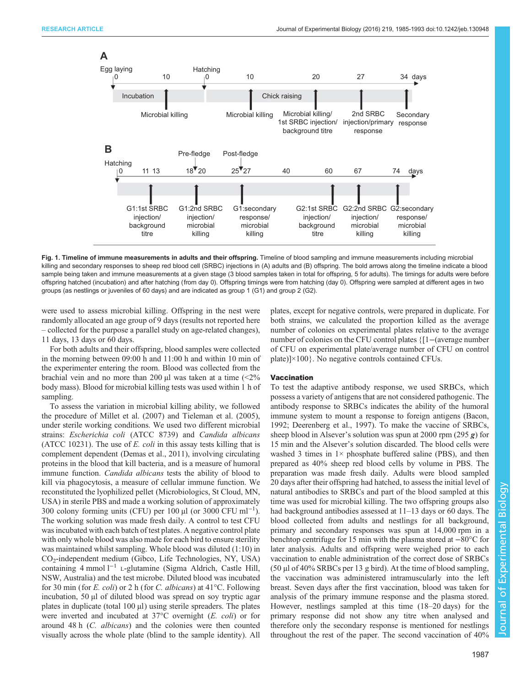<span id="page-2-0"></span>

Fig. 1. Timeline of immune measurements in adults and their offspring. Timeline of blood sampling and immune measurements including microbial killing and secondary responses to sheep red blood cell (SRBC) injections in (A) adults and (B) offspring. The bold arrows along the timeline indicate a blood sample being taken and immune measurements at a given stage (3 blood samples taken in total for offspring, 5 for adults). The timings for adults were before offspring hatched (incubation) and after hatching (from day 0). Offspring timings were from hatching (day 0). Offspring were sampled at different ages in two groups (as nestlings or juveniles of 60 days) and are indicated as group 1 (G1) and group 2 (G2).

were used to assess microbial killing. Offspring in the nest were randomly allocated an age group of 9 days (results not reported here – collected for the purpose a parallel study on age-related changes), 11 days, 13 days or 60 days.

For both adults and their offspring, blood samples were collected in the morning between 09:00 h and 11:00 h and within 10 min of the experimenter entering the room. Blood was collected from the brachial vein and no more than 200  $\mu$ l was taken at a time (<2% body mass). Blood for microbial killing tests was used within 1 h of sampling.

To assess the variation in microbial killing ability, we followed the procedure of [Millet et al. \(2007\)](#page-8-0) and [Tieleman et al. \(2005\),](#page-8-0) under sterile working conditions. We used two different microbial strains: Escherichia coli (ATCC 8739) and Candida albicans (ATCC 10231). The use of  $E$ . *coli* in this assay tests killing that is complement dependent [\(Demas et al., 2011\)](#page-8-0), involving circulating proteins in the blood that kill bacteria, and is a measure of humoral immune function. *Candida albicans* tests the ability of blood to kill via phagocytosis, a measure of cellular immune function. We reconstituted the lyophilized pellet (Microbiologics, St Cloud, MN, USA) in sterile PBS and made a working solution of approximately 300 colony forming units (CFU) per 100 µl (or 3000 CFU ml<sup>-1</sup>). The working solution was made fresh daily. A control to test CFU was incubated with each batch of test plates. A negative control plate with only whole blood was also made for each bird to ensure sterility was maintained whilst sampling. Whole blood was diluted (1:10) in CO2-independent medium (Gibco, Life Technologies, NY, USA) containing 4 mmol l−<sup>1</sup> L-glutamine (Sigma Aldrich, Castle Hill, NSW, Australia) and the test microbe. Diluted blood was incubated for 30 min (for E. coli) or 2 h (for C. albicans) at  $41^{\circ}$ C. Following incubation, 50 µl of diluted blood was spread on soy tryptic agar plates in duplicate (total  $100 \mu l$ ) using sterile spreaders. The plates were inverted and incubated at 37°C overnight (E. coli) or for around 48 h (C. albicans) and the colonies were then counted visually across the whole plate (blind to the sample identity). All plates, except for negative controls, were prepared in duplicate. For both strains, we calculated the proportion killed as the average number of colonies on experimental plates relative to the average number of colonies on the CFU control plates {[1−(average number of CFU on experimental plate/average number of CFU on control plate)] $\times$ 100}. No negative controls contained CFUs.

#### Vaccination

To test the adaptive antibody response, we used SRBCs, which possess a variety of antigens that are not considered pathogenic. The antibody response to SRBCs indicates the ability of the humoral immune system to mount a response to foreign antigens ([Bacon,](#page-7-0) [1992;](#page-7-0) [Deerenberg et al., 1997\)](#page-8-0). To make the vaccine of SRBCs, sheep blood in Alsever's solution was spun at 2000 rpm (295  $g$ ) for 15 min and the Alsever's solution discarded. The blood cells were washed 3 times in  $1\times$  phosphate buffered saline (PBS), and then prepared as 40% sheep red blood cells by volume in PBS. The preparation was made fresh daily. Adults were blood sampled 20 days after their offspring had hatched, to assess the initial level of natural antibodies to SRBCs and part of the blood sampled at this time was used for microbial killing. The two offspring groups also had background antibodies assessed at 11–13 days or 60 days. The blood collected from adults and nestlings for all background, primary and secondary responses was spun at 14,000 rpm in a benchtop centrifuge for 15 min with the plasma stored at −80°C for later analysis. Adults and offspring were weighed prior to each vaccination to enable administration of the correct dose of SRBCs (50 µl of 40% SRBCs per 13 g bird). At the time of blood sampling, the vaccination was administered intramuscularly into the left breast. Seven days after the first vaccination, blood was taken for analysis of the primary immune response and the plasma stored. However, nestlings sampled at this time (18–20 days) for the primary response did not show any titre when analysed and therefore only the secondary response is mentioned for nestlings throughout the rest of the paper. The second vaccination of 40%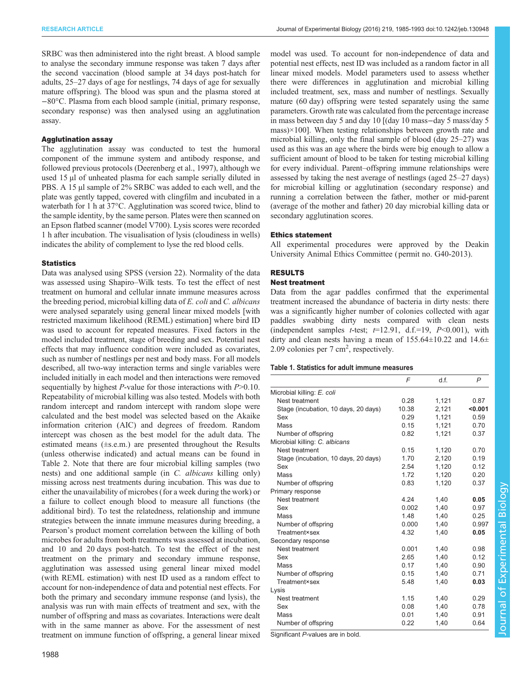model was used. To account for non-independence of data and

<span id="page-3-0"></span>SRBC was then administered into the right breast. A blood sample to analyse the secondary immune response was taken 7 days after the second vaccination (blood sample at 34 days post-hatch for adults, 25–27 days of age for nestlings, 74 days of age for sexually mature offspring). The blood was spun and the plasma stored at −80°C. Plasma from each blood sample (initial, primary response, secondary response) was then analysed using an agglutination assay.

## Agglutination assay

The agglutination assay was conducted to test the humoral component of the immune system and antibody response, and followed previous protocols [\(Deerenberg et al., 1997](#page-8-0)), although we used 15 µl of unheated plasma for each sample serially diluted in PBS. A 15 µl sample of 2% SRBC was added to each well, and the plate was gently tapped, covered with clingfilm and incubated in a waterbath for 1 h at 37°C. Agglutination was scored twice, blind to the sample identity, by the same person. Plates were then scanned on an Epson flatbed scanner (model V700). Lysis scores were recorded 1 h after incubation. The visualisation of lysis (cloudiness in wells) indicates the ability of complement to lyse the red blood cells.

#### **Statistics**

Data was analysed using SPSS (version 22). Normality of the data was assessed using Shapiro–Wilk tests. To test the effect of nest treatment on humoral and cellular innate immune measures across the breeding period, microbial killing data of E. coli and C. albicans were analysed separately using general linear mixed models [with restricted maximum likelihood (REML) estimation] where bird ID was used to account for repeated measures. Fixed factors in the model included treatment, stage of breeding and sex. Potential nest effects that may influence condition were included as covariates, such as number of nestlings per nest and body mass. For all models described, all two-way interaction terms and single variables were included initially in each model and then interactions were removed sequentially by highest  $P$ -value for those interactions with  $P > 0.10$ . Repeatability of microbial killing was also tested. Models with both random intercept and random intercept with random slope were calculated and the best model was selected based on the Akaike information criterion (AIC) and degrees of freedom. Random intercept was chosen as the best model for the adult data. The estimated means (±s.e.m.) are presented throughout the Results (unless otherwise indicated) and actual means can be found in [Table 2.](#page-4-0) Note that there are four microbial killing samples (two nests) and one additional sample (in C. albicans killing only) missing across nest treatments during incubation. This was due to either the unavailability of microbes (for a week during the work) or a failure to collect enough blood to measure all functions (the additional bird). To test the relatedness, relationship and immune strategies between the innate immune measures during breeding, a Pearson's product moment correlation between the killing of both microbes for adults from both treatments was assessed at incubation, and 10 and 20 days post-hatch. To test the effect of the nest treatment on the primary and secondary immune response, agglutination was assessed using general linear mixed model (with REML estimation) with nest ID used as a random effect to account for non-independence of data and potential nest effects. For both the primary and secondary immune response (and lysis), the analysis was run with main effects of treatment and sex, with the number of offspring and mass as covariates. Interactions were dealt with in the same manner as above. For the assessment of nest treatment on immune function of offspring, a general linear mixed

potential nest effects, nest ID was included as a random factor in all linear mixed models. Model parameters used to assess whether there were differences in agglutination and microbial killing included treatment, sex, mass and number of nestlings. Sexually mature (60 day) offspring were tested separately using the same parameters. Growth rate was calculated from the percentage increase in mass between day 5 and day 10 [(day 10 mass−day 5 mass/day 5  $mass) \times 100$ . When testing relationships between growth rate and microbial killing, only the final sample of blood (day 25–27) was used as this was an age where the birds were big enough to allow a sufficient amount of blood to be taken for testing microbial killing for every individual. Parent–offspring immune relationships were assessed by taking the nest average of nestlings (aged 25–27 days) for microbial killing or agglutination (secondary response) and running a correlation between the father, mother or mid-parent (average of the mother and father) 20 day microbial killing data or secondary agglutination scores.

# Ethics statement

All experimental procedures were approved by the Deakin University Animal Ethics Committee ( permit no. G40-2013).

# RESULTS

# Nest treatment

Data from the agar paddles confirmed that the experimental treatment increased the abundance of bacteria in dirty nests: there was a significantly higher number of colonies collected with agar paddles swabbing dirty nests compared with clean nests (independent samples *t*-test;  $t=12.91$ , d.f.=19,  $P<0.001$ ), with dirty and clean nests having a mean of  $155.64 \pm 10.22$  and  $14.6 \pm$ 2.09 colonies per 7 cm<sup>2</sup>, respectively.

## Table 1. Statistics for adult immune measures

|                                      | F     | d.f.  | P     |
|--------------------------------------|-------|-------|-------|
| Microbial killing: E. coli           |       |       |       |
| Nest treatment                       | 0.28  | 1,121 | 0.87  |
| Stage (incubation, 10 days, 20 days) | 10.38 | 2,121 | 0.001 |
| Sex                                  | 0.29  | 1,121 | 0.59  |
| Mass                                 | 0.15  | 1.121 | 0.70  |
| Number of offspring                  | 0.82  | 1,121 | 0.37  |
| Microbial killing: C. albicans       |       |       |       |
| Nest treatment                       | 0.15  | 1,120 | 0.70  |
| Stage (incubation, 10 days, 20 days) | 1.70  | 2,120 | 0.19  |
| Sex                                  | 2.54  | 1,120 | 0.12  |
| Mass                                 | 1.72  | 1.120 | 0.20  |
| Number of offspring                  | 0.83  | 1.120 | 0.37  |
| Primary response                     |       |       |       |
| Nest treatment                       | 4.24  | 1.40  | 0.05  |
| Sex                                  | 0.002 | 1,40  | 0.97  |
| Mass                                 | 1.48  | 1,40  | 0.25  |
| Number of offspring                  | 0.000 | 1,40  | 0.997 |
| Treatment×sex                        | 4.32  | 1,40  | 0.05  |
| Secondary response                   |       |       |       |
| Nest treatment                       | 0.001 | 1,40  | 0.98  |
| Sex                                  | 2.65  | 1,40  | 0.12  |
| Mass                                 | 0.17  | 1,40  | 0.90  |
| Number of offspring                  | 0.15  | 1,40  | 0.71  |
| Treatment×sex                        | 5.48  | 1,40  | 0.03  |
| Lysis                                |       |       |       |
| Nest treatment                       | 1.15  | 1,40  | 0.29  |
| Sex                                  | 0.08  | 1.40  | 0.78  |
| Mass                                 | 0.01  | 1,40  | 0.91  |
| Number of offspring                  | 0.22  | 1,40  | 0.64  |

Significant P-values are in bold.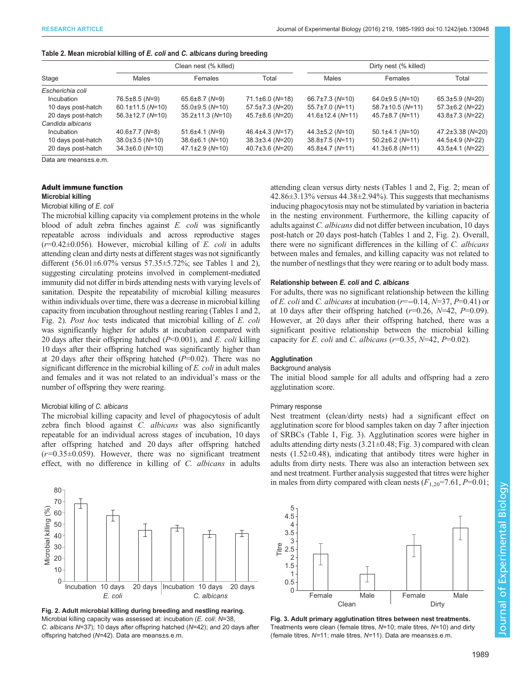<span id="page-4-0"></span>

| Table 2. Mean microbial killing of <i>E. coli</i> and <i>C. albicans</i> during breeding |  |  |  |
|------------------------------------------------------------------------------------------|--|--|--|
|------------------------------------------------------------------------------------------|--|--|--|

|                    | Clean nest (% killed)  |                        |                       | Dirty nest (% killed)  |                        |                        |
|--------------------|------------------------|------------------------|-----------------------|------------------------|------------------------|------------------------|
| Stage              | Males                  | Females                | Total                 | Males                  | Females                | Total                  |
| Escherichia coli   |                        |                        |                       |                        |                        |                        |
| Incubation         | $76.5 \pm 8.5$ (N=9)   | $65.6 \pm 8.7$ (N=9)   | $71.1\pm 6.0$ (N=18)  | $66.7 \pm 7.3$ (N=10)  | $64.0\pm9.5$ (N=10)    | $65.3 \pm 5.9$ (N=20)  |
| 10 days post-hatch | $60.1 \pm 11.5$ (N=10) | $55.0\pm9.5$ (N=10)    | $57.5 \pm 7.3$ (N=20) | $55.7 \pm 7.0$ (N=11)  | $58.7 \pm 10.5$ (N=11) | $57.3 \pm 6.2$ (N=22)  |
| 20 days post-hatch | $56.3 \pm 12.7$ (N=10) | $35.2 \pm 11.3$ (N=10) | $45.7\pm8.6$ (N=20)   | $41.6 \pm 12.4$ (N=11) | $45.7\pm8.7$ (N=11)    | $43.8 \pm 7.3$ (N=22)  |
| Candida albicans   |                        |                        |                       |                        |                        |                        |
| Incubation         | $40.6 \pm 7.7$ (N=8)   | $51.6 \pm 4.1 (N=9)$   | $46.4\pm4.3$ (N=17)   | $44.3 \pm 5.2$ (N=10)  | $50.1 \pm 4.1$ (N=10)  | $47.2 \pm 3.38$ (N=20) |
| 10 days post-hatch | $38.0 \pm 3.5$ (N=10)  | $38.6 \pm 6.1$ (N=10)  | $38.3 \pm 3.4$ (N=20) | $38.8 \pm 7.5$ (N=11)  | $50.2 \pm 6.2$ (N=11)  | 44.5±4.9 (N=22)        |
| 20 days post-hatch | $34.3\pm6.0$ (N=10)    | $47.1 \pm 2.9$ (N=10)  | $40.7 \pm 3.6$ (N=20) | $45.8 \pm 4.7$ (N=11)  | $41.3\pm6.8$ (N=11)    | $43.5\pm4.1$ (N=22)    |

Data are means±s.e.m.

## Adult immune function

#### Microbial killing

## Microbial killing of E. coli

The microbial killing capacity via complement proteins in the whole blood of adult zebra finches against E. coli was significantly repeatable across individuals and across reproductive stages  $(r=0.42\pm0.056)$ . However, microbial killing of E. coli in adults attending clean and dirty nests at different stages was not significantly different (56.01±6.07% versus 57.35±5.72%; see [Tables 1](#page-3-0) and 2), suggesting circulating proteins involved in complement-mediated immunity did not differ in birds attending nests with varying levels of sanitation. Despite the repeatability of microbial killing measures within individuals over time, there was a decrease in microbial killing capacity from incubation throughout nestling rearing ([Tables 1](#page-3-0) and 2, Fig. 2). Post hoc tests indicated that microbial killing of E. coli was significantly higher for adults at incubation compared with 20 days after their offspring hatched  $(P<0.001)$ , and E. coli killing 10 days after their offspring hatched was significantly higher than at 20 days after their offspring hatched  $(P=0.02)$ . There was no significant difference in the microbial killing of E. coli in adult males and females and it was not related to an individual's mass or the number of offspring they were rearing.

#### Microbial killing of C. albicans

The microbial killing capacity and level of phagocytosis of adult zebra finch blood against C. albicans was also significantly repeatable for an individual across stages of incubation, 10 days after offspring hatched and 20 days after offspring hatched  $(r=0.35\pm0.059)$ . However, there was no significant treatment effect, with no difference in killing of C. albicans in adults



Fig. 2. Adult microbial killing during breeding and nestling rearing. Microbial killing capacity was assessed at: incubation (E. coli: N=38, C. albicans N=37); 10 days after offspring hatched (N=42); and 20 days after offspring hatched (N=42). Data are means±s.e.m.

attending clean versus dirty nests ([Tables 1](#page-3-0) and 2, Fig. 2; mean of  $42.86\pm3.13\%$  versus  $44.38\pm2.94\%$ ). This suggests that mechanisms inducing phagocytosis may not be stimulated by variation in bacteria in the nesting environment. Furthermore, the killing capacity of adults against C. albicans did not differ between incubation, 10 days post-hatch or 20 days post-hatch ([Tables 1](#page-3-0) and 2, Fig. 2). Overall, there were no significant differences in the killing of C. albicans between males and females, and killing capacity was not related to the number of nestlings that they were rearing or to adult body mass.

#### Relationship between E. coli and C. albicans

For adults, there was no significant relationship between the killing of E. coli and C. albicans at incubation ( $r=-0.14$ ,  $N=37$ ,  $P=0.41$ ) or at 10 days after their offspring hatched  $(r=0.26, N=42, P=0.09)$ . However, at 20 days after their offspring hatched, there was a significant positive relationship between the microbial killing capacity for E. coli and C. albicans ( $r=0.35$ ,  $N=42$ ,  $P=0.02$ ).

#### Agglutination

#### Background analysis

The initial blood sample for all adults and offspring had a zero agglutination score.

#### Primary response

Nest treatment (clean/dirty nests) had a significant effect on agglutination score for blood samples taken on day 7 after injection of SRBCs ([Table 1](#page-3-0), Fig. 3). Agglutination scores were higher in adults attending dirty nests  $(3.21 \pm 0.48; Fig. 3)$  compared with clean nests (1.52±0.48), indicating that antibody titres were higher in adults from dirty nests. There was also an interaction between sex and nest treatment. Further analysis suggested that titres were higher in males from dirty compared with clean nests  $(F_{1,20} = 7.61, P = 0.01;$ 



Fig. 3. Adult primary agglutination titres between nest treatments. Treatments were clean (female titres,  $N=10$ ; male titres,  $N=10$ ) and dirty (female titres, N=11; male titres, N=11). Data are means±s.e.m.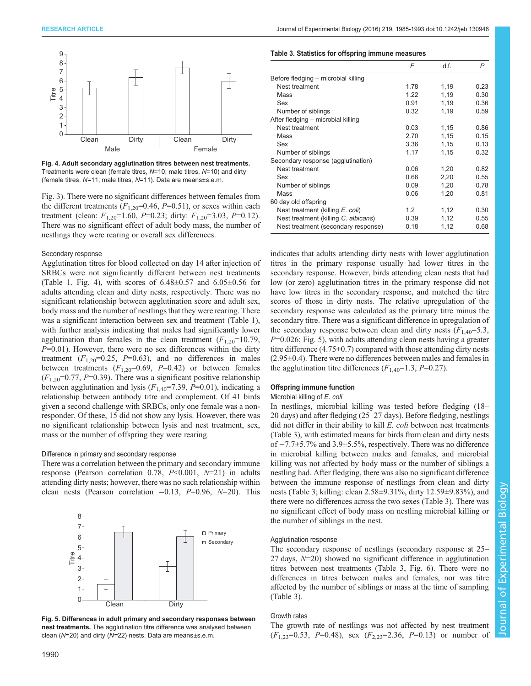<span id="page-5-0"></span>

Fig. 4. Adult secondary agglutination titres between nest treatments. Treatments were clean (female titres, N=10; male titres, N=10) and dirty (female titres, N=11; male titres, N=11). Data are means±s.e.m.

[Fig. 3\)](#page-4-0). There were no significant differences between females from the different treatments  $(F_{1,20}=0.46, P=0.51)$ , or sexes within each treatment (clean:  $F_{1,20}$ =1.60, P=0.23; dirty:  $F_{1,20}$ =3.03, P=0.12). There was no significant effect of adult body mass, the number of nestlings they were rearing or overall sex differences.

#### Secondary response

Agglutination titres for blood collected on day 14 after injection of SRBCs were not significantly different between nest treatments [\(Table 1,](#page-3-0) Fig. 4), with scores of  $6.48 \pm 0.57$  and  $6.05 \pm 0.56$  for adults attending clean and dirty nests, respectively. There was no significant relationship between agglutination score and adult sex, body mass and the number of nestlings that they were rearing. There was a significant interaction between sex and treatment ([Table 1\)](#page-3-0), with further analysis indicating that males had significantly lower agglutination than females in the clean treatment  $(F_{1,20}=10.79)$ ,  $P=0.01$ ). However, there were no sex differences within the dirty treatment  $(F_{1,20}=0.25, P=0.63)$ , and no differences in males between treatments  $(F_{1,20}=0.69, P=0.42)$  or between females  $(F_{1,20}=0.77, P=0.39)$ . There was a significant positive relationship between agglutination and lysis  $(F_{1,40} = 7.39, P = 0.01)$ , indicating a relationship between antibody titre and complement. Of 41 birds given a second challenge with SRBCs, only one female was a nonresponder. Of these, 15 did not show any lysis. However, there was no significant relationship between lysis and nest treatment, sex, mass or the number of offspring they were rearing.

#### Difference in primary and secondary response

There was a correlation between the primary and secondary immune response (Pearson correlation 0.78,  $P<0.001$ ,  $N=21$ ) in adults attending dirty nests; however, there was no such relationship within clean nests (Pearson correlation −0.13, P=0.96, N=20). This



Fig. 5. Differences in adult primary and secondary responses between nest treatments. The agglutination titre difference was analysed between clean (N=20) and dirty (N=22) nests. Data are means±s.e.m.

#### Table 3. Statistics for offspring immune measures

|                                      | F    | d.f. | P    |
|--------------------------------------|------|------|------|
| Before fledging – microbial killing  |      |      |      |
| Nest treatment                       | 1.78 | 1,19 | 0.23 |
| Mass                                 | 1.22 | 1,19 | 0.30 |
| Sex                                  | 0.91 | 1,19 | 0.36 |
| Number of siblings                   | 0.32 | 1,19 | 0.59 |
| After fledging - microbial killing   |      |      |      |
| Nest treatment                       | 0.03 | 1,15 | 0.86 |
| Mass                                 | 2.70 | 1,15 | 0.15 |
| Sex                                  | 3.36 | 1,15 | 0.13 |
| Number of siblings                   | 1.17 | 1,15 | 0.32 |
| Secondary response (agglutination)   |      |      |      |
| Nest treatment                       | 0.06 | 1,20 | 0.82 |
| Sex                                  | 0.66 | 2,20 | 0.55 |
| Number of siblings                   | 0.09 | 1,20 | 0.78 |
| Mass                                 | 0.06 | 1,20 | 0.81 |
| 60 day old offspring                 |      |      |      |
| Nest treatment (killing E. coli)     | 1.2  | 1,12 | 0.30 |
| Nest treatment (killing C. albicans) | 0.39 | 1,12 | 0.55 |
| Nest treatment (secondary response)  | 0.18 | 1,12 | 0.68 |

indicates that adults attending dirty nests with lower agglutination titres in the primary response usually had lower titres in the secondary response. However, birds attending clean nests that had low (or zero) agglutination titres in the primary response did not have low titres in the secondary response, and matched the titre scores of those in dirty nests. The relative upregulation of the secondary response was calculated as the primary titre minus the secondary titre. There was a significant difference in upregulation of the secondary response between clean and dirty nests  $(F_{1,40} = 5.3,$  $P=0.026$ ; Fig. 5), with adults attending clean nests having a greater titre difference  $(4.75\pm0.7)$  compared with those attending dirty nests (2.95±0.4). There were no differences between males and females in the agglutination titre differences  $(F_{1,40} = 1.3, P = 0.27)$ .

# Offspring immune function

## Microbial killing of E. coli

In nestlings, microbial killing was tested before fledging (18– 20 days) and after fledging (25–27 days). Before fledging, nestlings did not differ in their ability to kill E. coli between nest treatments (Table 3), with estimated means for birds from clean and dirty nests of −7.7±5.7% and 3.9±5.5%, respectively. There was no difference in microbial killing between males and females, and microbial killing was not affected by body mass or the number of siblings a nestling had. After fledging, there was also no significant difference between the immune response of nestlings from clean and dirty nests (Table 3; killing: clean 2.58±9.31%, dirty 12.59±9.83%), and there were no differences across the two sexes (Table 3). There was no significant effect of body mass on nestling microbial killing or the number of siblings in the nest.

#### Agglutination response

The secondary response of nestlings (secondary response at 25– 27 days, N=20) showed no significant difference in agglutination titres between nest treatments (Table 3, [Fig. 6\)](#page-6-0). There were no differences in titres between males and females, nor was titre affected by the number of siblings or mass at the time of sampling (Table 3).

#### Growth rates

The growth rate of nestlings was not affected by nest treatment  $(F_{1,23}=0.53, P=0.48)$ , sex  $(F_{2,23}=2.36, P=0.13)$  or number of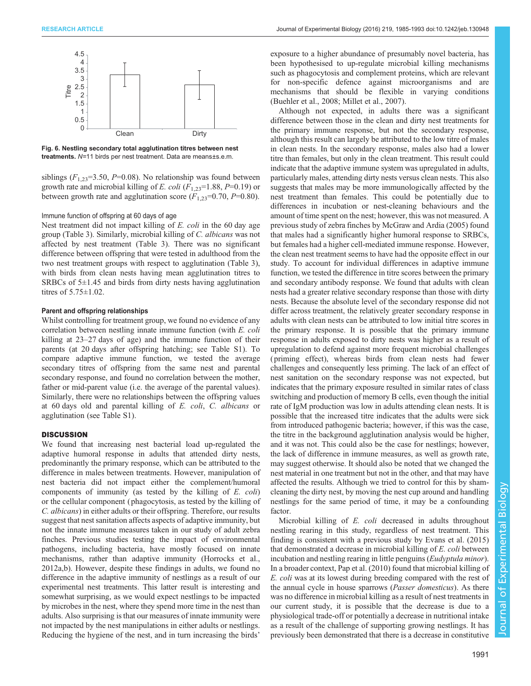<span id="page-6-0"></span>

Fig. 6. Nestling secondary total agglutination titres between nest treatments. N=11 birds per nest treatment. Data are means±s.e.m.

siblings ( $F_{1,23}$ =3.50, P=0.08). No relationship was found between growth rate and microbial killing of E. coli  $(F_{1,23}=1.88, P=0.19)$  or between growth rate and agglutination score  $(F_{1,23}=0.70, P=0.80)$ .

# Immune function of offspring at 60 days of age

Nest treatment did not impact killing of E. coli in the 60 day age group [\(Table 3\)](#page-5-0). Similarly, microbial killing of C. albicans was not affected by nest treatment ([Table 3\)](#page-5-0). There was no significant difference between offspring that were tested in adulthood from the two nest treatment groups with respect to agglutination [\(Table 3\)](#page-5-0), with birds from clean nests having mean agglutination titres to SRBCs of  $5\pm1.45$  and birds from dirty nests having agglutination titres of 5.75±1.02.

#### Parent and offspring relationships

Whilst controlling for treatment group, we found no evidence of any correlation between nestling innate immune function (with E. coli killing at 23–27 days of age) and the immune function of their parents (at 20 days after offspring hatching; see [Table S1\)](http://jeb.biologists.org/lookup/suppl/doi:10.1242/jeb.130948/-/DC1). To compare adaptive immune function, we tested the average secondary titres of offspring from the same nest and parental secondary response, and found no correlation between the mother, father or mid-parent value (i.e. the average of the parental values). Similarly, there were no relationships between the offspring values at 60 days old and parental killing of E. coli, C. albicans or agglutination (see [Table S1\)](http://jeb.biologists.org/lookup/suppl/doi:10.1242/jeb.130948/-/DC1).

# **DISCUSSION**

We found that increasing nest bacterial load up-regulated the adaptive humoral response in adults that attended dirty nests, predominantly the primary response, which can be attributed to the difference in males between treatments. However, manipulation of nest bacteria did not impact either the complement/humoral components of immunity (as tested by the killing of E. coli) or the cellular component ( phagocytosis, as tested by the killing of C. albicans) in either adults or their offspring. Therefore, our results suggest that nest sanitation affects aspects of adaptive immunity, but not the innate immune measures taken in our study of adult zebra finches. Previous studies testing the impact of environmental pathogens, including bacteria, have mostly focused on innate mechanisms, rather than adaptive immunity [\(Horrocks et al.,](#page-8-0) [2012a](#page-8-0),[b](#page-8-0)). However, despite these findings in adults, we found no difference in the adaptive immunity of nestlings as a result of our experimental nest treatments. This latter result is interesting and somewhat surprising, as we would expect nestlings to be impacted by microbes in the nest, where they spend more time in the nest than adults. Also surprising is that our measures of innate immunity were not impacted by the nest manipulations in either adults or nestlings. Reducing the hygiene of the nest, and in turn increasing the birds'

exposure to a higher abundance of presumably novel bacteria, has been hypothesised to up-regulate microbial killing mechanisms such as phagocytosis and complement proteins, which are relevant for non-specific defence against microorganisms and are mechanisms that should be flexible in varying conditions [\(Buehler et al., 2008; Millet et al., 2007](#page-8-0)).

Although not expected, in adults there was a significant difference between those in the clean and dirty nest treatments for the primary immune response, but not the secondary response, although this result can largely be attributed to the low titre of males in clean nests. In the secondary response, males also had a lower titre than females, but only in the clean treatment. This result could indicate that the adaptive immune system was upregulated in adults, particularly males, attending dirty nests versus clean nests. This also suggests that males may be more immunologically affected by the nest treatment than females. This could be potentially due to differences in incubation or nest-cleaning behaviours and the amount of time spent on the nest; however, this was not measured. A previous study of zebra finches by [McGraw and Ardia \(2005\)](#page-8-0) found that males had a significantly higher humoral response to SRBCs, but females had a higher cell-mediated immune response. However, the clean nest treatment seems to have had the opposite effect in our study. To account for individual differences in adaptive immune function, we tested the difference in titre scores between the primary and secondary antibody response. We found that adults with clean nests had a greater relative secondary response than those with dirty nests. Because the absolute level of the secondary response did not differ across treatment, the relatively greater secondary response in adults with clean nests can be attributed to low initial titre scores in the primary response. It is possible that the primary immune response in adults exposed to dirty nests was higher as a result of upregulation to defend against more frequent microbial challenges ( priming effect), whereas birds from clean nests had fewer challenges and consequently less priming. The lack of an effect of nest sanitation on the secondary response was not expected, but indicates that the primary exposure resulted in similar rates of class switching and production of memory B cells, even though the initial rate of IgM production was low in adults attending clean nests. It is possible that the increased titre indicates that the adults were sick from introduced pathogenic bacteria; however, if this was the case, the titre in the background agglutination analysis would be higher, and it was not. This could also be the case for nestlings; however, the lack of difference in immune measures, as well as growth rate, may suggest otherwise. It should also be noted that we changed the nest material in one treatment but not in the other, and that may have affected the results. Although we tried to control for this by shamcleaning the dirty nest, by moving the nest cup around and handling nestlings for the same period of time, it may be a confounding factor.

Microbial killing of E. coli decreased in adults throughout nestling rearing in this study, regardless of nest treatment. This finding is consistent with a previous study by [Evans et al. \(2015\)](#page-8-0) that demonstrated a decrease in microbial killing of E. coli between incubation and nestling rearing in little penguins (*Eudyptula minor*). In a broader context, [Pap et al. \(2010\)](#page-8-0) found that microbial killing of E. coli was at its lowest during breeding compared with the rest of the annual cycle in house sparrows (Passer domesticus). As there was no difference in microbial killing as a result of nest treatments in our current study, it is possible that the decrease is due to a physiological trade-off or potentially a decrease in nutritional intake as a result of the challenge of supporting growing nestlings. It has previously been demonstrated that there is a decrease in constitutive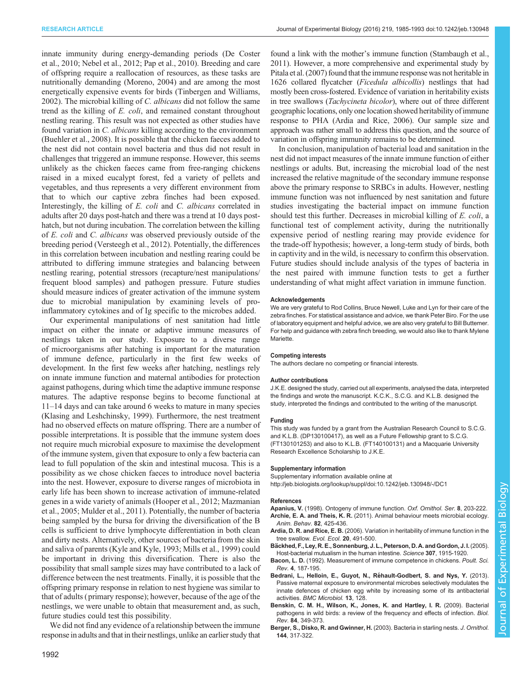<span id="page-7-0"></span>innate immunity during energy-demanding periods ([De Coster](#page-8-0) [et al., 2010; Nebel et al., 2012](#page-8-0); [Pap et al., 2010](#page-8-0)). Breeding and care of offspring require a reallocation of resources, as these tasks are nutritionally demanding [\(Moreno, 2004](#page-8-0)) and are among the most energetically expensive events for birds [\(Tinbergen and Williams,](#page-8-0) [2002](#page-8-0)). The microbial killing of C. albicans did not follow the same trend as the killing of E. coli, and remained constant throughout nestling rearing. This result was not expected as other studies have found variation in C. albicans killing according to the environment [\(Buehler et al., 2008](#page-8-0)). It is possible that the chicken faeces added to the nest did not contain novel bacteria and thus did not result in challenges that triggered an immune response. However, this seems unlikely as the chicken faeces came from free-ranging chickens raised in a mixed eucalypt forest, fed a variety of pellets and vegetables, and thus represents a very different environment from that to which our captive zebra finches had been exposed. Interestingly, the killing of E. coli and C. albicans correlated in adults after 20 days post-hatch and there was a trend at 10 days posthatch, but not during incubation. The correlation between the killing of E. coli and C. albicans was observed previously outside of the breeding period ([Versteegh et al., 2012\)](#page-8-0). Potentially, the differences in this correlation between incubation and nestling rearing could be attributed to differing immune strategies and balancing between nestling rearing, potential stressors (recapture/nest manipulations/ frequent blood samples) and pathogen pressure. Future studies should measure indices of greater activation of the immune system due to microbial manipulation by examining levels of proinflammatory cytokines and of Ig specific to the microbes added.

Our experimental manipulations of nest sanitation had little impact on either the innate or adaptive immune measures of nestlings taken in our study. Exposure to a diverse range of microorganisms after hatching is important for the maturation of immune defence, particularly in the first few weeks of development. In the first few weeks after hatching, nestlings rely on innate immune function and maternal antibodies for protection against pathogens, during which time the adaptive immune response matures. The adaptive response begins to become functional at 11–14 days and can take around 6 weeks to mature in many species [\(Klasing and Leshchinsky, 1999](#page-8-0)). Furthermore, the nest treatment had no observed effects on mature offspring. There are a number of possible interpretations. It is possible that the immune system does not require much microbial exposure to maximise the development of the immune system, given that exposure to only a few bacteria can lead to full population of the skin and intestinal mucosa. This is a possibility as we chose chicken faeces to introduce novel bacteria into the nest. However, exposure to diverse ranges of microbiota in early life has been shown to increase activation of immune-related genes in a wide variety of animals [\(Hooper et al., 2012; Mazmanian](#page-8-0) [et al., 2005](#page-8-0); [Mulder et al., 2011\)](#page-8-0). Potentially, the number of bacteria being sampled by the bursa for driving the diversification of the B cells is sufficient to drive lymphocyte differentiation in both clean and dirty nests. Alternatively, other sources of bacteria from the skin and saliva of parents [\(Kyle and Kyle, 1993; Mills et al., 1999\)](#page-8-0) could be important in driving this diversification. There is also the possibility that small sample sizes may have contributed to a lack of difference between the nest treatments. Finally, it is possible that the offspring primary response in relation to nest hygiene was similar to that of adults ( primary response); however, because of the age of the nestlings, we were unable to obtain that measurement and, as such, future studies could test this possibility.

We did not find any evidence of a relationship between the immune response in adults and that in their nestlings, unlike an earlier study that

found a link with the mother's immune function [\(Stambaugh et al.,](#page-8-0) [2011\)](#page-8-0). However, a more comprehensive and experimental study by [Pitala et al. \(2007\)](#page-8-0) found that the immune response was not heritable in 1626 collared flycatcher (Ficedula albicollis) nestlings that had mostly been cross-fostered. Evidence of variation in heritability exists in tree swallows (Tachycineta bicolor), where out of three different geographic locations, only one location showed heritability of immune response to PHA (Ardia and Rice, 2006). Our sample size and approach was rather small to address this question, and the source of variation in offspring immunity remains to be determined.

In conclusion, manipulation of bacterial load and sanitation in the nest did not impact measures of the innate immune function of either nestlings or adults. But, increasing the microbial load of the nest increased the relative magnitude of the secondary immune response above the primary response to SRBCs in adults. However, nestling immune function was not influenced by nest sanitation and future studies investigating the bacterial impact on immune function should test this further. Decreases in microbial killing of E. coli, a functional test of complement activity, during the nutritionally expensive period of nestling rearing may provide evidence for the trade-off hypothesis; however, a long-term study of birds, both in captivity and in the wild, is necessary to confirm this observation. Future studies should include analysis of the types of bacteria in the nest paired with immune function tests to get a further understanding of what might affect variation in immune function.

#### Acknowledgements

We are very grateful to Rod Collins, Bruce Newell, Luke and Lyn for their care of the zebra finches. For statistical assistance and advice, we thank Peter Biro. For the use of laboratory equipment and helpful advice, we are also very grateful to Bill Buttemer. For help and guidance with zebra finch breeding, we would also like to thank Mylene Mariette.

#### Competing interests

The authors declare no competing or financial interests.

#### Author contributions

J.K.E. designed the study, carried out all experiments, analysed the data, interpreted the findings and wrote the manuscript. K.C.K., S.C.G. and K.L.B. designed the study, interpreted the findings and contributed to the writing of the manuscript.

#### Funding

This study was funded by a grant from the Australian Research Council to S.C.G. and K.L.B. (DP130100417), as well as a Future Fellowship grant to S.C.G. (FT130101253) and also to K.L.B. (FT140100131) and a Macquarie University Research Excellence Scholarship to J.K.E.

#### Supplementary information

Supplementary information available online at <http://jeb.biologists.org/lookup/suppl/doi:10.1242/jeb.130948/-/DC1>

#### References

- Apanius, V. (1998). Ontogeny of immune function. Oxf. Ornithol. Ser. 8, 203-222. Archie, E. A. and Theis, K. R. (2011). Animal behaviour meets microbial ecology [Anim. Behav.](http://dx.doi.org/10.1016/j.anbehav.2011.05.029) 82, 425-436.
- Ardia, D. R. and Rice, E. B. [\(2006\). Variation in heritability of immune function in the](http://dx.doi.org/10.1007/s10682-006-0016-x) [tree swallow.](http://dx.doi.org/10.1007/s10682-006-0016-x) Evol. Ecol. 20, 491-500.
- Bä[ckhed, F., Ley, R. E., Sonnenburg, J. L., Peterson, D. A. and Gordon, J. I.](http://dx.doi.org/10.1126/science.1104816) (2005) [Host-bacterial mutualism in the human intestine.](http://dx.doi.org/10.1126/science.1104816) Science 307, 1915-1920.
- Bacon, L. D. (1992). Measurement of immune competence in chickens. Poult. Sci. Rev. 4, 187-195.
- Bedrani, L., Helloin, E., Guyot, N., Réhault-Godbert, S. and Nys, Y. (2013). [Passive maternal exposure to environmental microbes selectively modulates the](http://dx.doi.org/10.1186/1471-2180-13-128) [innate defences of chicken egg white by increasing some of its antibacterial](http://dx.doi.org/10.1186/1471-2180-13-128) activities. [BMC Microbiol.](http://dx.doi.org/10.1186/1471-2180-13-128) 13, 128.
- [Benskin, C. M. H., Wilson, K., Jones, K. and Hartley, I. R.](http://dx.doi.org/10.1111/j.1469-185X.2008.00076.x) (2009). Bacterial [pathogens in wild birds: a review of the frequency and effects of infection.](http://dx.doi.org/10.1111/j.1469-185X.2008.00076.x) Biol. Rev. 84[, 349-373.](http://dx.doi.org/10.1111/j.1469-185X.2008.00076.x)
- [Berger, S., Disko, R. and Gwinner, H.](http://dx.doi.org/10.1007/BF02465631) (2003). Bacteria in starling nests. J. Ornithol. 144[, 317-322.](http://dx.doi.org/10.1007/BF02465631)